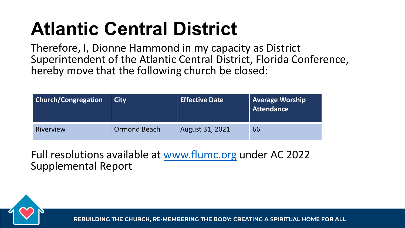## **Atlantic Central District**

Therefore, I, Dionne Hammond in my capacity as District Superintendent of the Atlantic Central District, Florida Conference, hereby move that the following church be closed:

| <b>Church/Congregation</b> | <b>City</b>         | <b>Effective Date</b> | <b>Average Worship</b><br><b>Attendance</b> |
|----------------------------|---------------------|-----------------------|---------------------------------------------|
| Riverview                  | <b>Ormond Beach</b> | August 31, 2021       | 66                                          |

Full resolutions available at [www.flumc.org](http://www.flumc.org/) under AC 2022 Supplemental Report

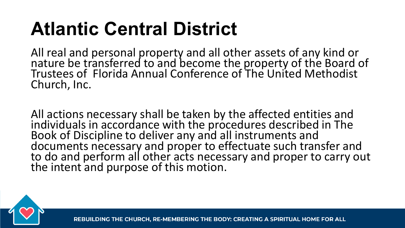## **Atlantic Central District**

All real and personal property and all other assets of any kind or nature be transferred to and become the property of the Board of Trustees of Florida Annual Conference of The United Methodist Church, Inc.

All actions necessary shall be taken by the affected entities and individuals in accordance with the procedures described in The Book of Discipline to deliver any and all instruments and documents necessary and proper to effectuate such transfer and to do and perform all other acts necessary and proper to carry out the intent and purpose of this motion.



**MBERING THE BODY: CREATI**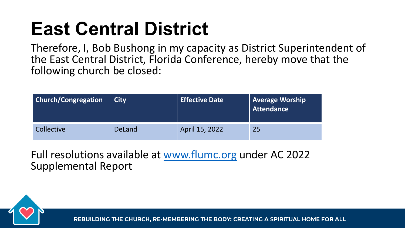## **East Central District**

Therefore, I, Bob Bushong in my capacity as District Superintendent of the East Central District, Florida Conference, hereby move that the following church be closed:

| <b>Church/Congregation</b> | <b>City</b> | <b>Effective Date</b> | <b>Average Worship</b><br><b>Attendance</b> |
|----------------------------|-------------|-----------------------|---------------------------------------------|
| Collective                 | DeLand      | April 15, 2022        | 25                                          |

Full resolutions available at [www.flumc.org](http://www.flumc.org/) under AC 2022 Supplemental Report